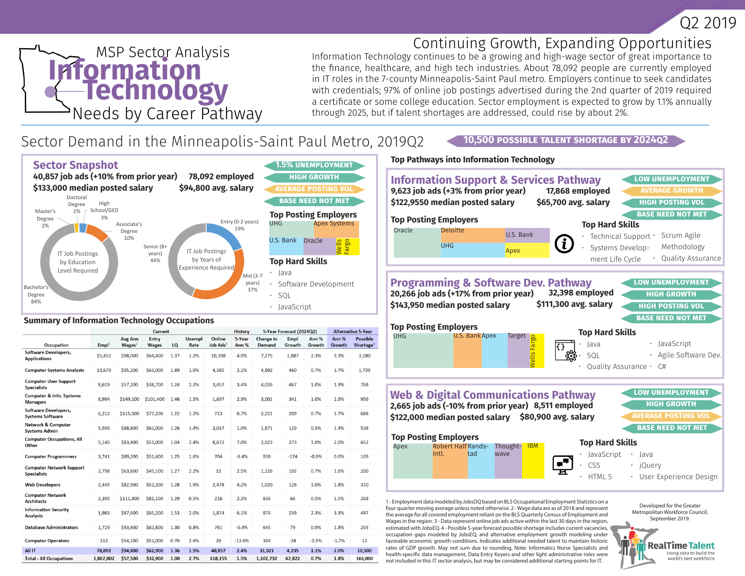

Developed for the Greater Metropolitan Workforce Council, September 2019.

> **RealTime Talent** Using data to build the world's best workforce

# **MSP Sector Analysis**<br> **Information** Needs by Career Pathway

# Continuing Growth, Expanding Opportunities

**10,500 Possible Talent Shortage by 2024Q2**

Information Technology continues to be a growing and high-wage sector of great importance to the finance, healthcare, and high tech industries. About 78,092 people are currently employed in IT roles in the 7-county Minneapolis-Saint Paul metro. Employers continue to seek candidates with credentials; 97% of online job postings advertised during the 2nd quarter of 2019 required a certificate or some college education. Sector employment is expected to grow by 1.1% annually through 2025, but if talent shortages are addressed, could rise by about 2%.

# Sector Demand in the Minneapolis-Saint Paul Metro, 2019Q2



#### **Summary of Information Technology Occupations**

|                                                        | Current           |                               |                       |      | History        | 5-Year Forecast (2024Q2)       |                 |                     | <b>Alternative 5-Year</b> |                 |                 |                          |
|--------------------------------------------------------|-------------------|-------------------------------|-----------------------|------|----------------|--------------------------------|-----------------|---------------------|---------------------------|-----------------|-----------------|--------------------------|
| Occupation                                             | Empl <sup>1</sup> | Avg Ann<br>Wages <sup>2</sup> | Entry<br><b>Wages</b> | LQ   | Unempl<br>Rate | Online<br>Job Ads <sup>3</sup> | 5-Year<br>Ann % | Change in<br>Demand | Empl<br>Growth            | Ann %<br>Growth | Ann %<br>Growth | Possible<br>Shortage $4$ |
| <b>Software Developers.</b><br><b>Applications</b>     | 15,452            | \$98,000                      | \$64,400              | 1.37 | 1.2%           | 10,398                         | 4.9%            | 7,275               | 1,887                     | 2.3%            | 3.3%            | 3,180                    |
| <b>Computer Systems Analysts</b>                       | 13,679            | \$95,200                      | \$63,000              | 1.89 | 1.0%           | 4,385                          | 2.1%            | 4.892               | 460                       | 0.7%            | 1.7%            | 1.739                    |
| <b>Computer User Support</b><br><b>Specialists</b>     | 9,619             | \$57,200                      | \$38,700              | 1.24 | 2.2%           | 3,457                          | 3.4%            | 4.026               | 467                       | 1.0%            | 1.9%            | 768                      |
| <b>Computer &amp; Info. Systems</b><br><b>Managers</b> | 6,994             | \$149,100                     | \$101,400             | 1.46 | 1.5%           | 1,697                          | 2.9%            | 3,001               | 341                       | 1.0%            | 1.9%            | 956                      |
| Software Developers,<br><b>Systems Software</b>        | 6,212             | \$115,000                     | \$77,200              | 1.22 | 1.2%           | 713                            | 0.7%            | 2.221               | 209                       | 0.7%            | 1.7%            | 688                      |
| <b>Network &amp; Computer</b><br><b>Systems Admin</b>  | 5,599             | \$88,800                      | \$61,000              | 1.26 | 1.4%           | 3,037                          | 1.0%            | 1,871               | 129                       | 0.5%            | 1.4%            | 538                      |
| <b>Computer Occupations, All</b><br>Other              | 5,140             | \$83,400                      | \$51,000              | 1.04 | 2.4%           | 8,672                          | 7.0%            | 2.023               | 273                       | 1.0%            | 2.0%            | 652                      |
| <b>Computer Programmers</b>                            | 3,741             | \$89,200                      | \$51,400              | 1.25 | 1.6%           | 704                            | $-6.4%$         | 938                 | $-174$                    | $-0.9%$         | 0.0%            | 109                      |
| <b>Computer Network Support</b><br><b>Specialists</b>  | 2,798             | \$63,600                      | \$45,100              | 1.27 | 2.2%           | 32                             | 2.5%            | 1,126               | 102                       | 0.7%            | 1.6%            | 200                      |
| <b>Web Developers</b>                                  | 2,445             | \$82,900                      | \$52,300              | 1.28 | 1.9%           | 2,478                          | 4.2%            | 1,020               | 126                       | 1.0%            | 1.8%            | 310                      |
| <b>Computer Network</b><br><b>Architects</b>           | 2,390             | \$111,800                     | \$81,100              | 1.29 | 0.5%           | 216                            | 2.3%            | 836                 | 66                        | 0.5%            | 1.5%            | 268                      |
| <b>Information Security</b><br>Analysts                | 1,983             | \$97,600                      | \$65,200              | 1.53 | 2.0%           | 1,874                          | 6.1%            | 974                 | 239                       | 2.3%            | 3.3%            | 497                      |
| <b>Database Administrators</b>                         | 1.729             | \$93,600                      | \$62,800              | 1.30 | 0.8%           | 761                            | $-0.4%$         | 645                 | 79                        | 0.9%            | 1.8%            | 203                      |
| <b>Computer Operators</b>                              | 312               | \$54,100                      | \$51,000              | 0.70 | 2.6%           | 29                             | $-13.0%$        | 104                 | $-38$                     | $-2.5%$         | $-1.7%$         | 12                       |
| <b>All IT</b>                                          | 78,092            | \$94,800                      | \$62,900              | 1.36 | 1.5%           | 40,857                         | 2.4%            | 31,021              | 4,235                     | 1.1%            | 2.0%            | 10,500                   |
| <b>Total - All Occupations</b>                         | 1,867,002         | \$57,500                      | \$32,900              | 1.00 | 2.7%           | 118,155                        | 1.5%            | 1,102,732           | 67,822                    | 0.7%            | 1.8%            | 166,000                  |

## **Top Pathways into Information Technology**



1 - Employment data modeled by JobsDQ based on BLS Occupational Employment Statistics on a four-quarter moving average unless noted otherwise. 2 - Wage data are as of 2018 and represent the average for all covered employment reliant on the BLS Quarterly Census of Employment and Wages in the region. 3 - Data represent online job ads active within the last 30 days in the region, estimated with JobsEQ. 4 - Possible 5-year forecast possible shortage includes current vacancies, occupation gaps modeled by JobsEQ, and alternative employment growth modeling under favorable economic growth conditions. Indicates additional needed talent to maintain historic rates of GDP growth. May not sum due to rounding. Note: Informatics Nurse Specialists and health-specific data management, Data Entry Keyers and other light administrative roles were not included in this IT sector analysis, but may be considered additional starting points for IT.